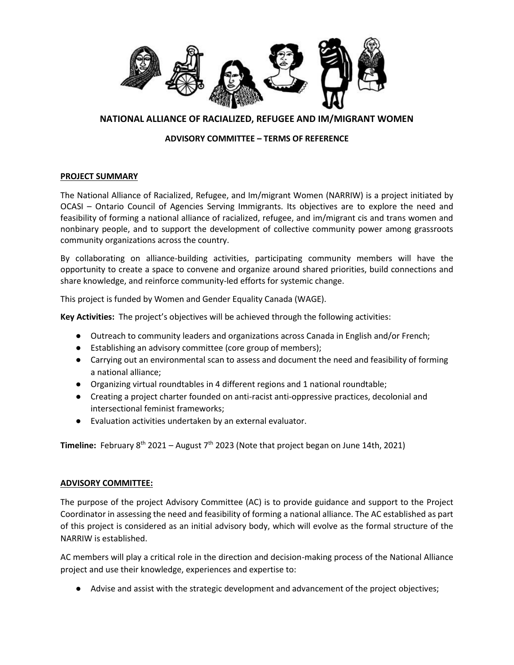

## **NATIONAL ALLIANCE OF RACIALIZED, REFUGEE AND IM/MIGRANT WOMEN**

### **ADVISORY COMMITTEE – TERMS OF REFERENCE**

#### **PROJECT SUMMARY**

The National Alliance of Racialized, Refugee, and Im/migrant Women (NARRIW) is a project initiated by OCASI – Ontario Council of Agencies Serving Immigrants. Its objectives are to explore the need and feasibility of forming a national alliance of racialized, refugee, and im/migrant cis and trans women and nonbinary people, and to support the development of collective community power among grassroots community organizations across the country.

By collaborating on alliance-building activities, participating community members will have the opportunity to create a space to convene and organize around shared priorities, build connections and share knowledge, and reinforce community-led efforts for systemic change.

This project is funded by Women and Gender Equality Canada (WAGE).

**Key Activities:** The project's objectives will be achieved through the following activities:

- Outreach to community leaders and organizations across Canada in English and/or French;
- Establishing an advisory committee (core group of members);
- Carrying out an environmental scan to assess and document the need and feasibility of forming a national alliance;
- Organizing virtual roundtables in 4 different regions and 1 national roundtable;
- Creating a project charter founded on anti-racist anti-oppressive practices, decolonial and intersectional feminist frameworks;
- Evaluation activities undertaken by an external evaluator.

**Timeline:** February 8<sup>th</sup> 2021 – August 7<sup>th</sup> 2023 (Note that project began on June 14th, 2021)

#### **ADVISORY COMMITTEE:**

The purpose of the project Advisory Committee (AC) is to provide guidance and support to the Project Coordinator in assessing the need and feasibility of forming a national alliance. The AC established as part of this project is considered as an initial advisory body, which will evolve as the formal structure of the NARRIW is established.

AC members will play a critical role in the direction and decision-making process of the National Alliance project and use their knowledge, experiences and expertise to:

● Advise and assist with the strategic development and advancement of the project objectives;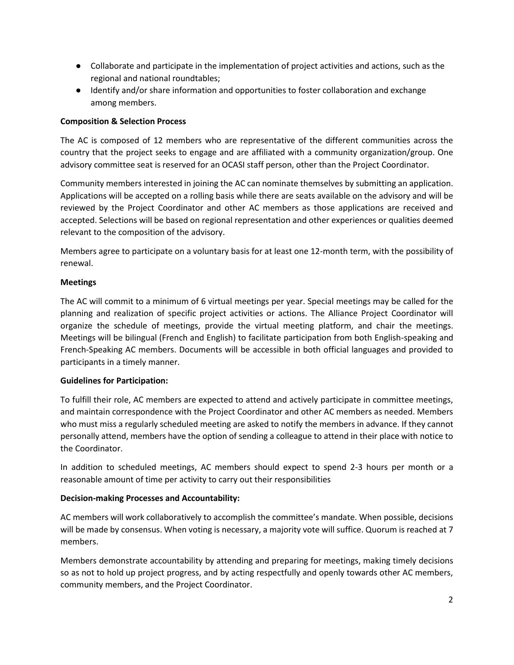- Collaborate and participate in the implementation of project activities and actions, such as the regional and national roundtables;
- Identify and/or share information and opportunities to foster collaboration and exchange among members.

### **Composition & Selection Process**

The AC is composed of 12 members who are representative of the different communities across the country that the project seeks to engage and are affiliated with a community organization/group. One advisory committee seat is reserved for an OCASI staff person, other than the Project Coordinator.

Community members interested in joining the AC can nominate themselves by submitting an application. Applications will be accepted on a rolling basis while there are seats available on the advisory and will be reviewed by the Project Coordinator and other AC members as those applications are received and accepted. Selections will be based on regional representation and other experiences or qualities deemed relevant to the composition of the advisory.

Members agree to participate on a voluntary basis for at least one 12-month term, with the possibility of renewal.

### **Meetings**

The AC will commit to a minimum of 6 virtual meetings per year. Special meetings may be called for the planning and realization of specific project activities or actions. The Alliance Project Coordinator will organize the schedule of meetings, provide the virtual meeting platform, and chair the meetings. Meetings will be bilingual (French and English) to facilitate participation from both English-speaking and French-Speaking AC members. Documents will be accessible in both official languages and provided to participants in a timely manner.

## **Guidelines for Participation:**

To fulfill their role, AC members are expected to attend and actively participate in committee meetings, and maintain correspondence with the Project Coordinator and other AC members as needed. Members who must miss a regularly scheduled meeting are asked to notify the members in advance. If they cannot personally attend, members have the option of sending a colleague to attend in their place with notice to the Coordinator.

In addition to scheduled meetings, AC members should expect to spend 2-3 hours per month or a reasonable amount of time per activity to carry out their responsibilities

## **Decision-making Processes and Accountability:**

AC members will work collaboratively to accomplish the committee's mandate. When possible, decisions will be made by consensus. When voting is necessary, a majority vote will suffice. Quorum is reached at 7 members.

Members demonstrate accountability by attending and preparing for meetings, making timely decisions so as not to hold up project progress, and by acting respectfully and openly towards other AC members, community members, and the Project Coordinator.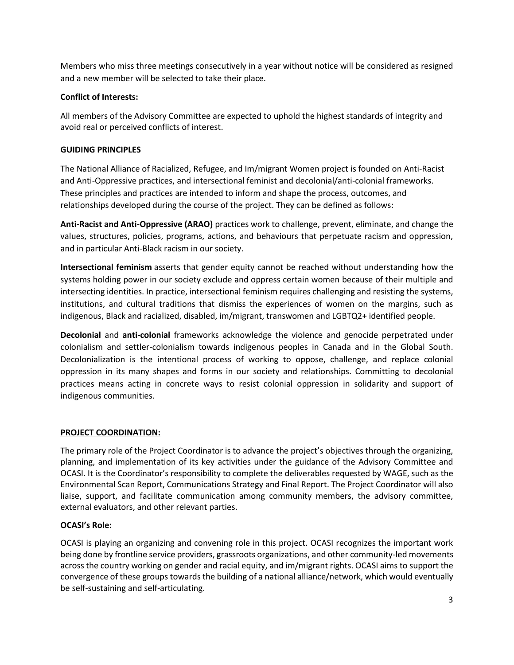Members who miss three meetings consecutively in a year without notice will be considered as resigned and a new member will be selected to take their place.

### **Conflict of Interests:**

All members of the Advisory Committee are expected to uphold the highest standards of integrity and avoid real or perceived conflicts of interest.

#### **GUIDING PRINCIPLES**

The National Alliance of Racialized, Refugee, and Im/migrant Women project is founded on Anti-Racist and Anti-Oppressive practices, and intersectional feminist and decolonial/anti-colonial frameworks. These principles and practices are intended to inform and shape the process, outcomes, and relationships developed during the course of the project. They can be defined as follows:

**Anti-Racist and Anti-Oppressive (ARAO)** practices work to challenge, prevent, eliminate, and change the values, structures, policies, programs, actions, and behaviours that perpetuate racism and oppression, and in particular Anti-Black racism in our society.

**Intersectional feminism** asserts that gender equity cannot be reached without understanding how the systems holding power in our society exclude and oppress certain women because of their multiple and intersecting identities. In practice, intersectional feminism requires challenging and resisting the systems, institutions, and cultural traditions that dismiss the experiences of women on the margins, such as indigenous, Black and racialized, disabled, im/migrant, transwomen and LGBTQ2+ identified people.

**Decolonial** and **anti-colonial** frameworks acknowledge the violence and genocide perpetrated under colonialism and settler-colonialism towards indigenous peoples in Canada and in the Global South. Decolonialization is the intentional process of working to oppose, challenge, and replace colonial oppression in its many shapes and forms in our society and relationships. Committing to decolonial practices means acting in concrete ways to resist colonial oppression in solidarity and support of indigenous communities.

#### **PROJECT COORDINATION:**

The primary role of the Project Coordinator is to advance the project's objectives through the organizing, planning, and implementation of its key activities under the guidance of the Advisory Committee and OCASI. It is the Coordinator's responsibility to complete the deliverables requested by WAGE, such as the Environmental Scan Report, Communications Strategy and Final Report. The Project Coordinator will also liaise, support, and facilitate communication among community members, the advisory committee, external evaluators, and other relevant parties.

#### **OCASI's Role:**

OCASI is playing an organizing and convening role in this project. OCASI recognizes the important work being done by frontline service providers, grassroots organizations, and other community-led movements across the country working on gender and racial equity, and im/migrant rights. OCASI aims to support the convergence of these groups towards the building of a national alliance/network, which would eventually be self-sustaining and self-articulating.